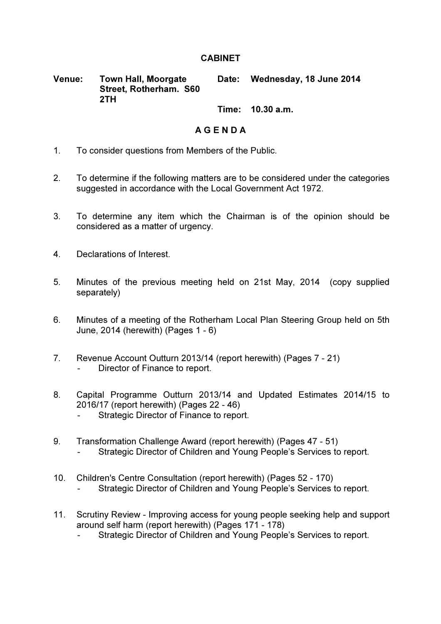## **CABINET**

Venue: Town Hall, Moorgate Street, Rotherham. S60 2TH Date: Wednesday, 18 June 2014

Time: 10.30 a.m.

## A G E N D A

- 1. To consider questions from Members of the Public.
- 2. To determine if the following matters are to be considered under the categories suggested in accordance with the Local Government Act 1972.
- 3. To determine any item which the Chairman is of the opinion should be considered as a matter of urgency.
- 4. Declarations of Interest.
- 5. Minutes of the previous meeting held on 21st May, 2014 (copy supplied separately)
- 6. Minutes of a meeting of the Rotherham Local Plan Steering Group held on 5th June, 2014 (herewith) (Pages 1 - 6)
- 7. Revenue Account Outturn 2013/14 (report herewith) (Pages 7 21) Director of Finance to report.
- 8. Capital Programme Outturn 2013/14 and Updated Estimates 2014/15 to 2016/17 (report herewith) (Pages 22 - 46)
	- Strategic Director of Finance to report.
- 9. Transformation Challenge Award (report herewith) (Pages 47 51) - Strategic Director of Children and Young People's Services to report.
- 10. Children's Centre Consultation (report herewith) (Pages 52 170) Strategic Director of Children and Young People's Services to report.
- 11. Scrutiny Review Improving access for young people seeking help and support around self harm (report herewith) (Pages 171 - 178)
	- Strategic Director of Children and Young People's Services to report.